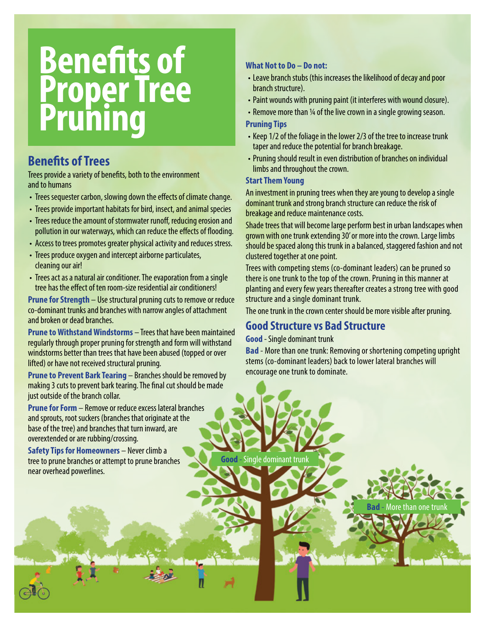# **Benefits of Proper Tree Pruning**

## **Benefits of Trees**

Trees provide a variety of benefits, both to the environment and to humans

- Trees sequester carbon, slowing down the effects of climate change.
- Trees provide important habitats for bird, insect, and animal species
- Trees reduce the amount of stormwater runoff, reducing erosion and pollution in our waterways, which can reduce the effects of flooding.
- Access to trees promotes greater physical activity and reduces stress.
- Trees produce oxygen and intercept airborne particulates, cleaning our air!
- Trees act as a natural air conditioner. The evaporation from a single tree has the effect of ten room-size residential air conditioners!

**Prune for Strength** – Use structural pruning cuts to remove or reduce co-dominant trunks and branches with narrow angles of attachment and broken or dead branches.

**Prune to Withstand Windstorms** – Trees that have been maintained regularly through proper pruning for strength and form will withstand windstorms better than trees that have been abused (topped or over lifted) or have not received structural pruning.

**Prune to Prevent Bark Tearing** – Branches should be removed by making 3 cuts to prevent bark tearing. The final cut should be made just outside of the branch collar.

**Prune for Form** – Remove or reduce excess lateral branches and sprouts, root suckers (branches that originate at the base of the tree) and branches that turn inward, are overextended or are rubbing/crossing.

**Safety Tips for Homeowners** – Never climb a tree to prune branches or attempt to prune branches near overhead powerlines.

### **What Not to Do – Do not:**

- Leave branch stubs (this increases the likelihood of decay and poor branch structure).
- Paint wounds with pruning paint (it interferes with wound closure).
- Remove more than ¼ of the live crown in a single growing season.

#### **Pruning Tips**

- Keep 1/2 of the foliage in the lower 2/3 of the tree to increase trunk taper and reduce the potential for branch breakage.
- Pruning should result in even distribution of branches on individual limbs and throughout the crown.

#### **Start Them Young**

An investment in pruning trees when they are young to develop a single dominant trunk and strong branch structure can reduce the risk of breakage and reduce maintenance costs.

Shade trees that will become large perform best in urban landscapes when grown with one trunk extending 30' or more into the crown. Large limbs should be spaced along this trunk in a balanced, staggered fashion and not clustered together at one point.

Trees with competing stems (co-dominant leaders) can be pruned so there is one trunk to the top of the crown. Pruning in this manner at planting and every few years thereafter creates a strong tree with good structure and a single dominant trunk.

The one trunk in the crown center should be more visible after pruning.

## **Good Structure vs Bad Structure**

**Good** - Single dominant trunk

**Bad** - More than one trunk: Removing or shortening competing upright stems (co-dominant leaders) back to lower lateral branches will encourage one trunk to dominate.

**Bad** - More than one trunk

**Good** - Single dominant trunk